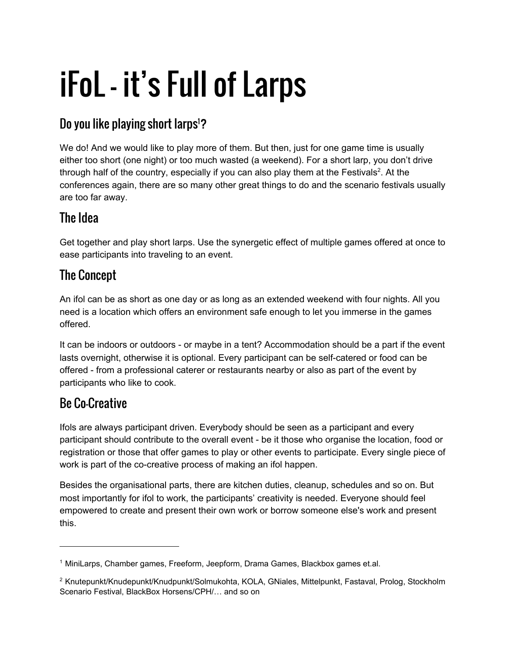# iFoL - it's Full of Larps

## Do you like playing short larps<sup>1</sup>?

We do! And we would like to play more of them. But then, just for one game time is usually either too short (one night) or too much wasted (a weekend). For a short larp, you don't drive through half of the country, especially if you can also play them at the Festivals<sup>2</sup>. At the conferences again, there are so many other great things to do and the scenario festivals usually are too far away.

#### The Idea

Get together and play short larps. Use the synergetic effect of multiple games offered at once to ease participants into traveling to an event.

## The Concept

An ifol can be as short as one day or as long as an extended weekend with four nights. All you need is a location which offers an environment safe enough to let you immerse in the games offered.

It can be indoors or outdoors - or maybe in a tent? Accommodation should be a part if the event lasts overnight, otherwise it is optional. Every participant can be self-catered or food can be offered - from a professional caterer or restaurants nearby or also as part of the event by participants who like to cook.

## Be Co-Creative

Ifols are always participant driven. Everybody should be seen as a participant and every participant should contribute to the overall event - be it those who organise the location, food or registration or those that offer games to play or other events to participate. Every single piece of work is part of the co-creative process of making an ifol happen.

Besides the organisational parts, there are kitchen duties, cleanup, schedules and so on. But most importantly for ifol to work, the participants' creativity is needed. Everyone should feel empowered to create and present their own work or borrow someone else's work and present this.

<sup>1</sup> MiniLarps, Chamber games, Freeform, Jeepform, Drama Games, Blackbox games et.al.

<sup>2</sup> Knutepunkt/Knudepunkt/Knudpunkt/Solmukohta, KOLA, GNiales, Mittelpunkt, Fastaval, Prolog, Stockholm Scenario Festival, BlackBox Horsens/CPH/… and so on